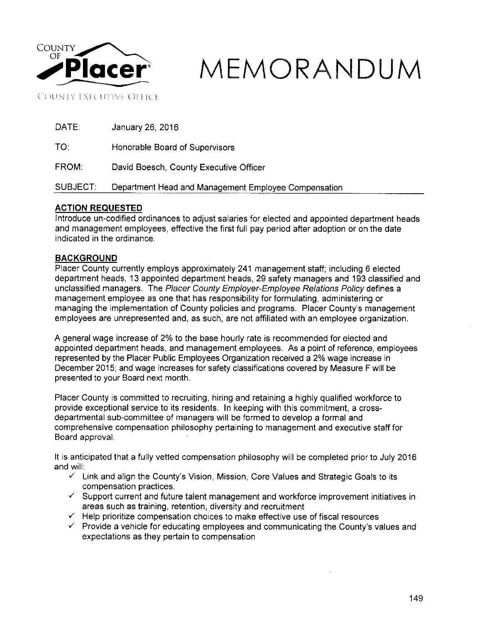

# **MEMORANDUM**

**COUNTY EXECUTIVE OFFICE** 

DATE: January 26, 2016

TO: Honorable Board of Supervisors

FROM: David Boesch, County Executive Officer

SUBJECT: Department Head and Management Employee Compensation

## **ACTION REQUESTED**

Introduce un-codified ordinances to adjust salaries for elected and appointed department heads and management employees, effective the first full pay period after adoption or on the date indicated in the ordinance.

### **BACKGROUND**

Placer County currently employs approximately 241 management staff; including 6 elected department heads, 13 appointed department heads, 29 safety managers and 193 classified and unclassified managers. The Placer County Employer-Employee Relations Policy defines a management employee as one that has responsibility for formulating, administering or managing the implementation of County policies and programs. Placer County's management employees are unrepresented and, as such, are not affiliated with an employee organization.

A general wage increase of 2% to the base hourly rate is recommended for elected and appointed department heads, and management employees. As a point of reference, employees represented by the Placer Public Employees Organization received a 2% wage increase in December 2015; and wage increases for safety classifications covered by Measure F will be presented to your Board next month.

Placer County is committed to recruiting, hiring and retaining a highly qualified workforce to provide exceptional service to its residents. In keeping with this commitment, a crossdepartmental sub-committee of managers will be formed to develop a formal and comprehensive compensation philosophy pertaining to management and executive staff for Board approval.

It is anticipated that a fully vetted compensation philosophy will be completed prior to July 2016 and will:

- $\checkmark$  Link and align the County's Vision, Mission, Core Values and Strategic Goals to its compensation practices .
- $\checkmark$  Support current and future talent management and workforce improvement initiatives in areas such as training, retention, diversity and recruitment
- $\checkmark$  Help prioritize compensation choices to make effective use of fiscal resources
- $\checkmark$  Provide a vehicle for educating employees and communicating the County's values and expectations as they pertain to compensation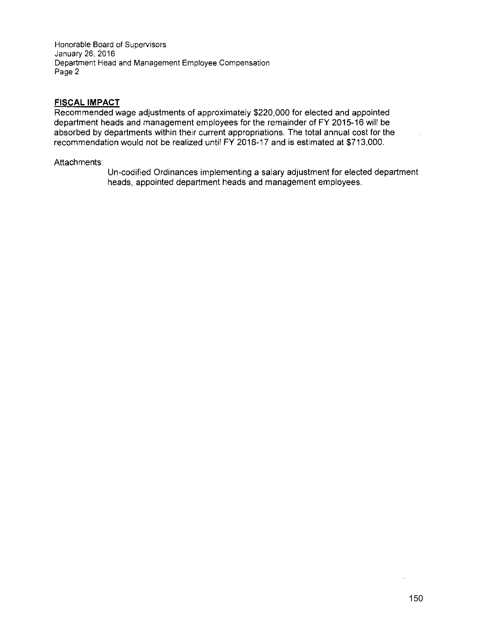Honorable Board of Supervisors January 26, 2016 Department Head and Management Employee Compensation Page 2

#### **FISCAL IMPACT**

Recommended wage adjustments of approximately \$220,000 for elected and appointed department heads and management employees for the remainder of FY 2015-16 will be absorbed by departments within their current appropriations. The total annual cost for the recommendation would not be realized until FY 2016-17 and is estimated at \$713,000.

#### Attachments:

 $\sim$ 

Un-codified Ordinances implementing a salary adjustment for elected department heads, appointed department heads and management employees.

 $\ddot{\phantom{a}}$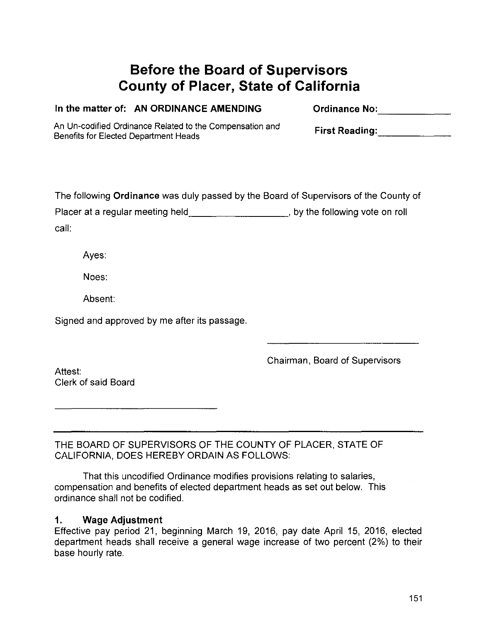# **Before the Board of Supervisors County of Placer, State of California**

| Vanty VI I ROOM, ORANG OF GAMONING |                                                                                                                                                                                                                     |
|------------------------------------|---------------------------------------------------------------------------------------------------------------------------------------------------------------------------------------------------------------------|
|                                    | <b>Ordinance No:</b>                                                                                                                                                                                                |
|                                    | First Reading: The Second Second Second Second Second Second Second Second Second Second Second Second Second S                                                                                                     |
|                                    | The following Ordinance was duly passed by the Board of Supervisors of the County of                                                                                                                                |
|                                    | Placer at a regular meeting held ________________________, by the following vote on roll                                                                                                                            |
|                                    |                                                                                                                                                                                                                     |
|                                    |                                                                                                                                                                                                                     |
|                                    |                                                                                                                                                                                                                     |
|                                    |                                                                                                                                                                                                                     |
|                                    | Chairman, Board of Supervisors                                                                                                                                                                                      |
|                                    | In the matter of: AN ORDINANCE AMENDING<br>An Un-codified Ordinance Related to the Compensation and<br>Benefits for Elected Department Heads<br>Signed and approved by me after its passage.<br>Clerk of said Board |

THE BOARD OF SUPERVISORS OF THE COUNTY OF PLACER, STATE OF CALIFORNIA, DOES HEREBY ORDAIN AS FOLLOWS:

That this uncodified Ordinance modifies provisions relating to salaries, compensation and benefits of elected department heads as set out below. This ordinance shall not be codified.

## **1. Wage Adjustment**

Effective pay period 21, beginning March 19, 2016, pay date April 15, 2016, elected department heads shall receive a general wage increase of two percent (2%) to their base hourly rate.